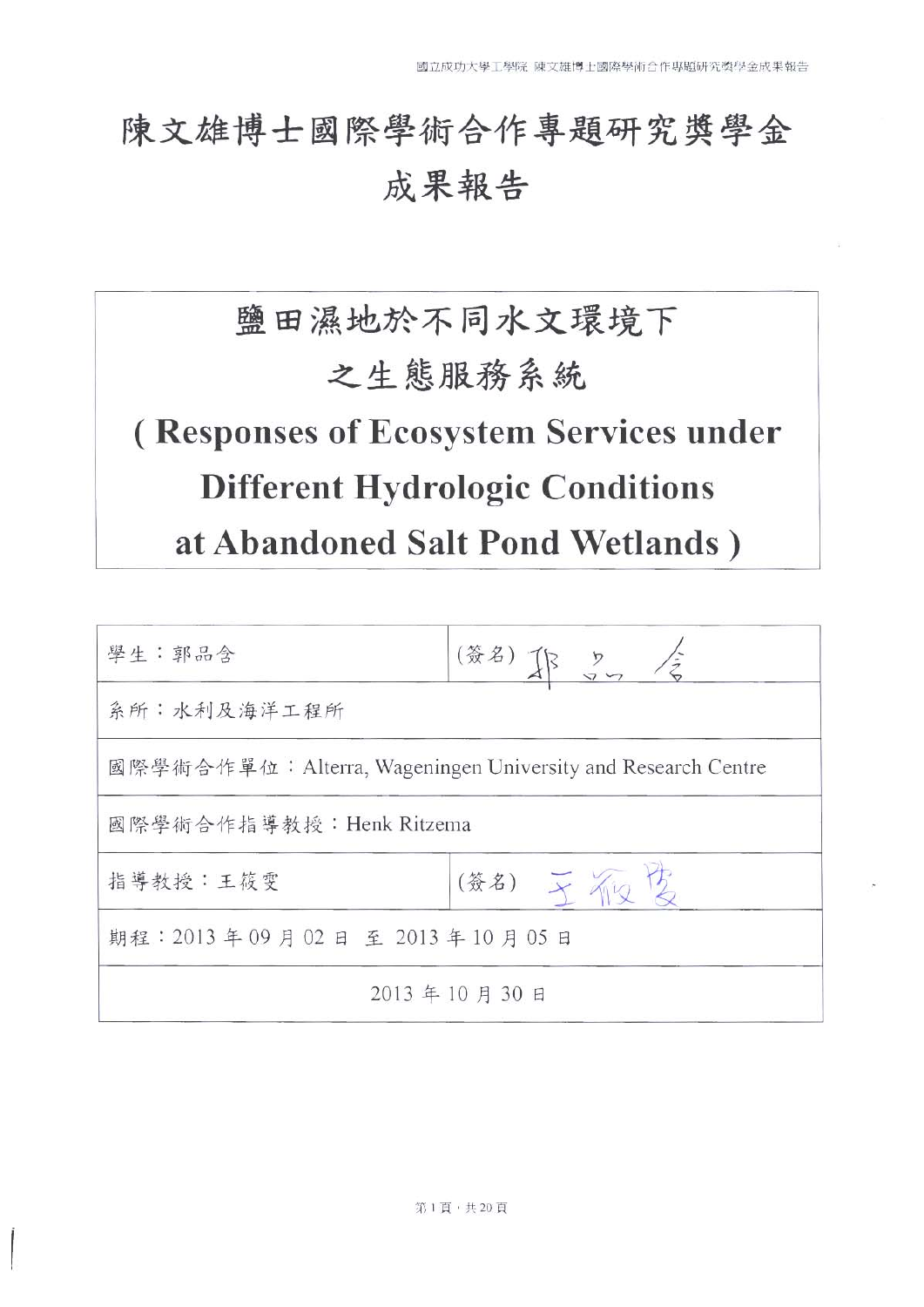# 陳文雄博士國際學術合作專題研究獎學金 成果報告

# 鹽田濕地於不同水文環境下 之生態服務系統 (Responses of Ecosystem Services under **Different Hydrologic Conditions** at Abandoned Salt Pond Wetlands)

| 學生:郭品含                                                      | (簽名) 下 25 全 |  |
|-------------------------------------------------------------|-------------|--|
| 系所:水利及海洋工程所                                                 |             |  |
| 國際學術合作單位:Alterra, Wageningen University and Research Centre |             |  |
| 國際學術合作指導教授: Henk Ritzema                                    |             |  |
| (簽名) 干预客<br>指導教授:王筱雯                                        |             |  |
| 期程: 2013年09月02日至2013年10月05日                                 |             |  |
| 2013年10月30日                                                 |             |  |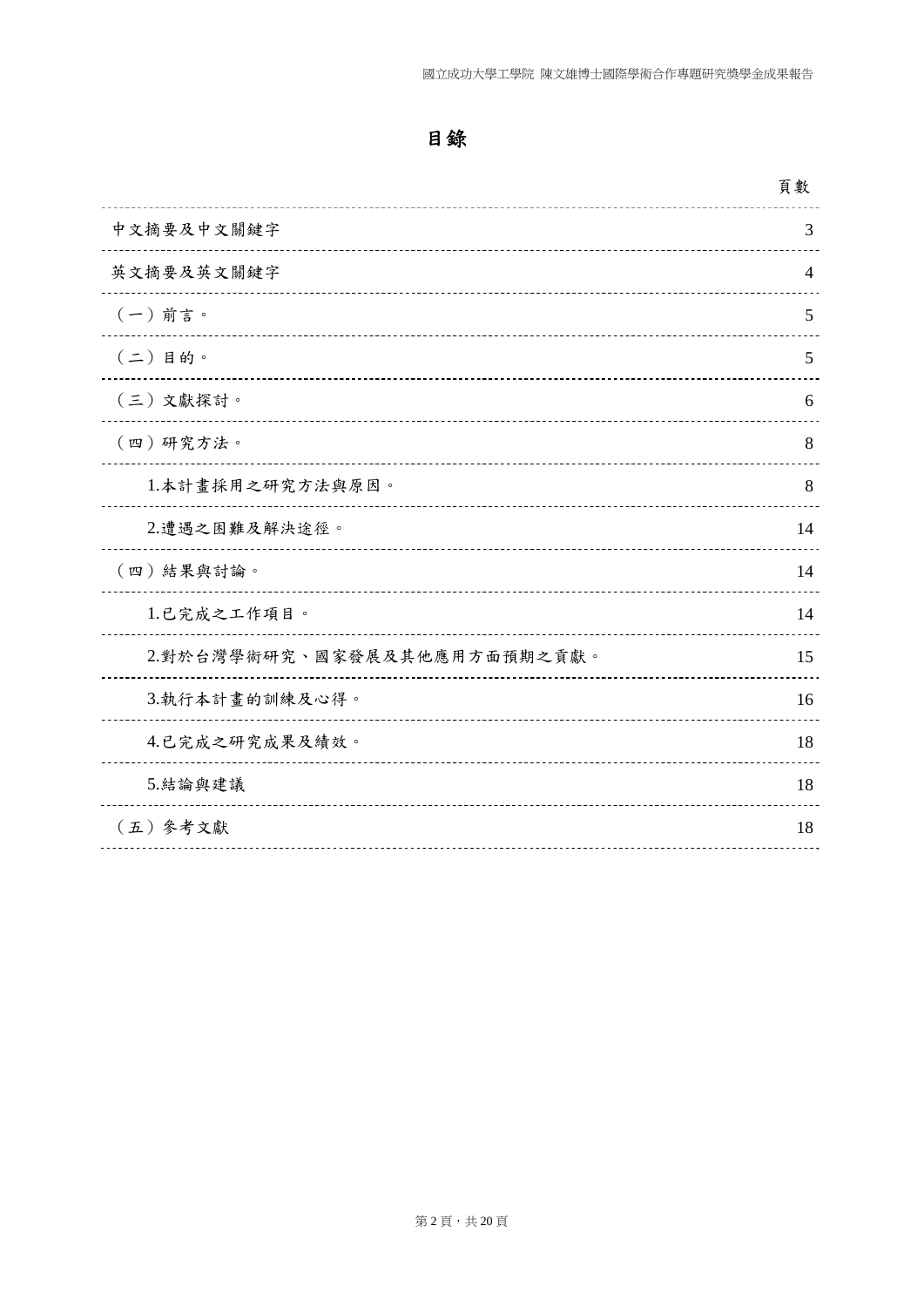|                              | 頁數             |
|------------------------------|----------------|
| 中文摘要及中文關鍵字                   | 3              |
| 英文摘要及英文關鍵字                   | $\overline{4}$ |
| $(-)$ 前言。                    | 5              |
| $(2)$ 目的。                    | 5              |
| (三)文獻探討。                     | 6              |
| (四)研究方法。                     | 8              |
| 1.本計畫採用之研究方法與原因。             | 8              |
| 2.遭遇之困難及解決途徑。                | 14             |
| (四)結果與討論。                    | 14             |
| 1.已完成之工作項目。                  | 14             |
| 2.對於台灣學術研究、國家發展及其他應用方面預期之貢獻。 | 15             |
| 3.執行本計畫的訓練及心得。               | 16             |
| 4.已完成之研究成果及績效。               | 18             |
| 5. 結論與建議                     | 18             |
| (五) 参考文獻                     | 18             |
|                              |                |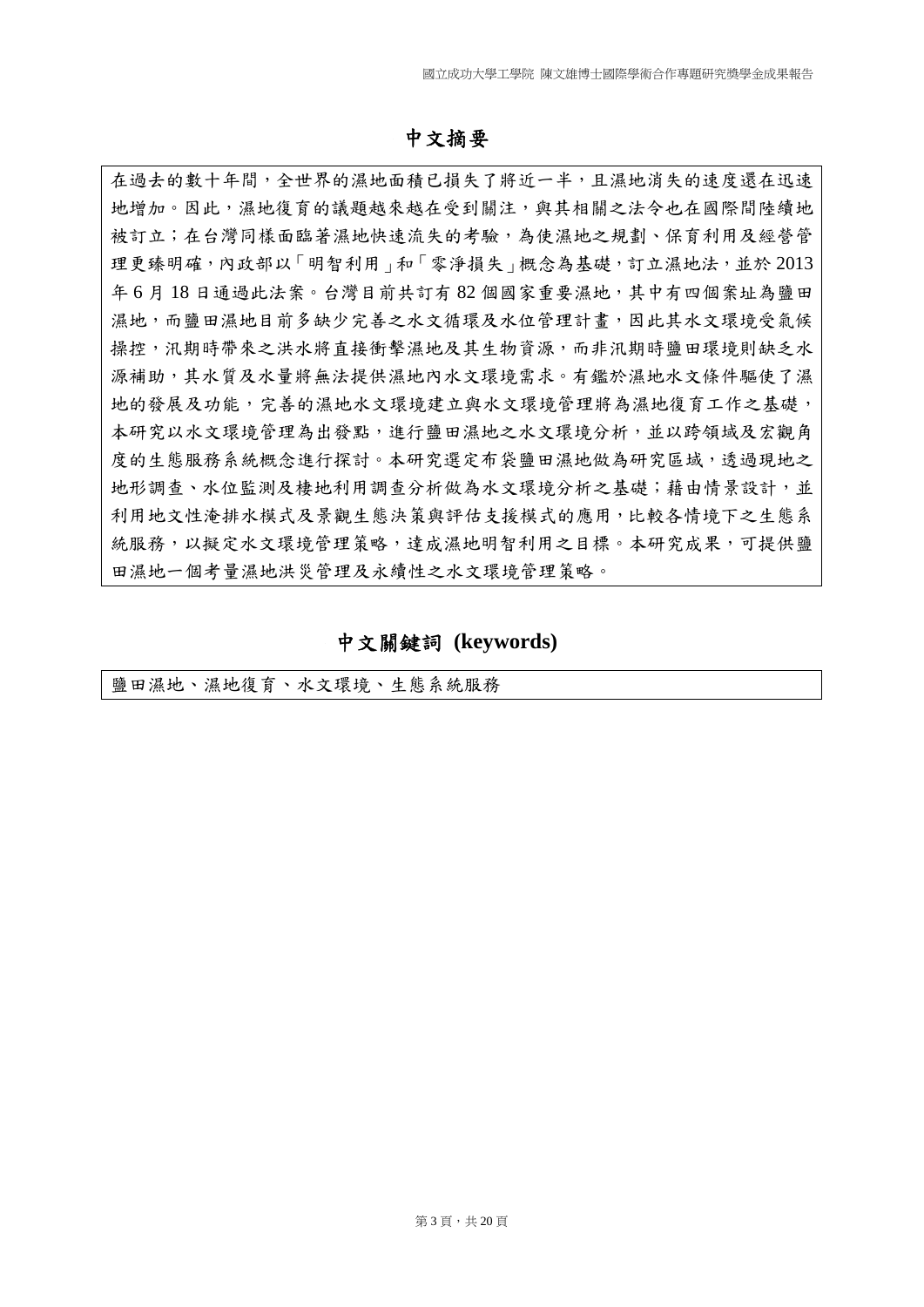#### 中文摘要

在過去的數十年間,全世界的濕地面積已損失了將近一半,且濕地消失的速度還在迅速 地增加。因此,濕地復育的議題越來越在受到關注,與其相關之法令也在國際間陸續地 被訂立;在台灣同樣面臨著濕地快速流失的考驗,為使濕地之規劃、保育利用及經營管 理更臻明確,內政部以「明智利用」和「零淨損失」概念為基礎,訂立濕地法,並於 2013 年 6 月 18 日通過此法案。台灣目前共訂有 82 個國家重要濕地,其中有四個案址為鹽田 濕地,而鹽田濕地目前多缺少完善之水文循環及水位管理計畫,因此其水文環境受氣候 操控,汛期時帶來之洪水將直接衝擊濕地及其生物資源,而非汛期時鹽田環境則缺乏水 源補助,其水質及水量將無法提供濕地內水文環境需求。有鑑於濕地水文條件驅使了濕 地的發展及功能,完善的濕地水文環境建立與水文環境管理將為濕地復育工作之基礎, 本研究以水文環境管理為出發點,進行鹽田濕地之水文環境分析,並以跨領域及宏觀角 度的生態服務系統概念進行探討。本研究選定布袋鹽田濕地做為研究區域,透過現地之 地形調查、水位監測及棲地利用調查分析做為水文環境分析之基礎;藉由情景設計,並 利用地文性淹排水模式及景觀生態決策與評估支援模式的應用,比較各情境下之生態系 統服務,以擬定水文環境管理策略,達成濕地明智利用之目標。本研究成果,可提供鹽 田濕地一個考量濕地洪災管理及永續性之水文環境管理策略。

中文關鍵詞 **(keywords)** 

鹽田濕地、濕地復育、水文環境、生態系統服務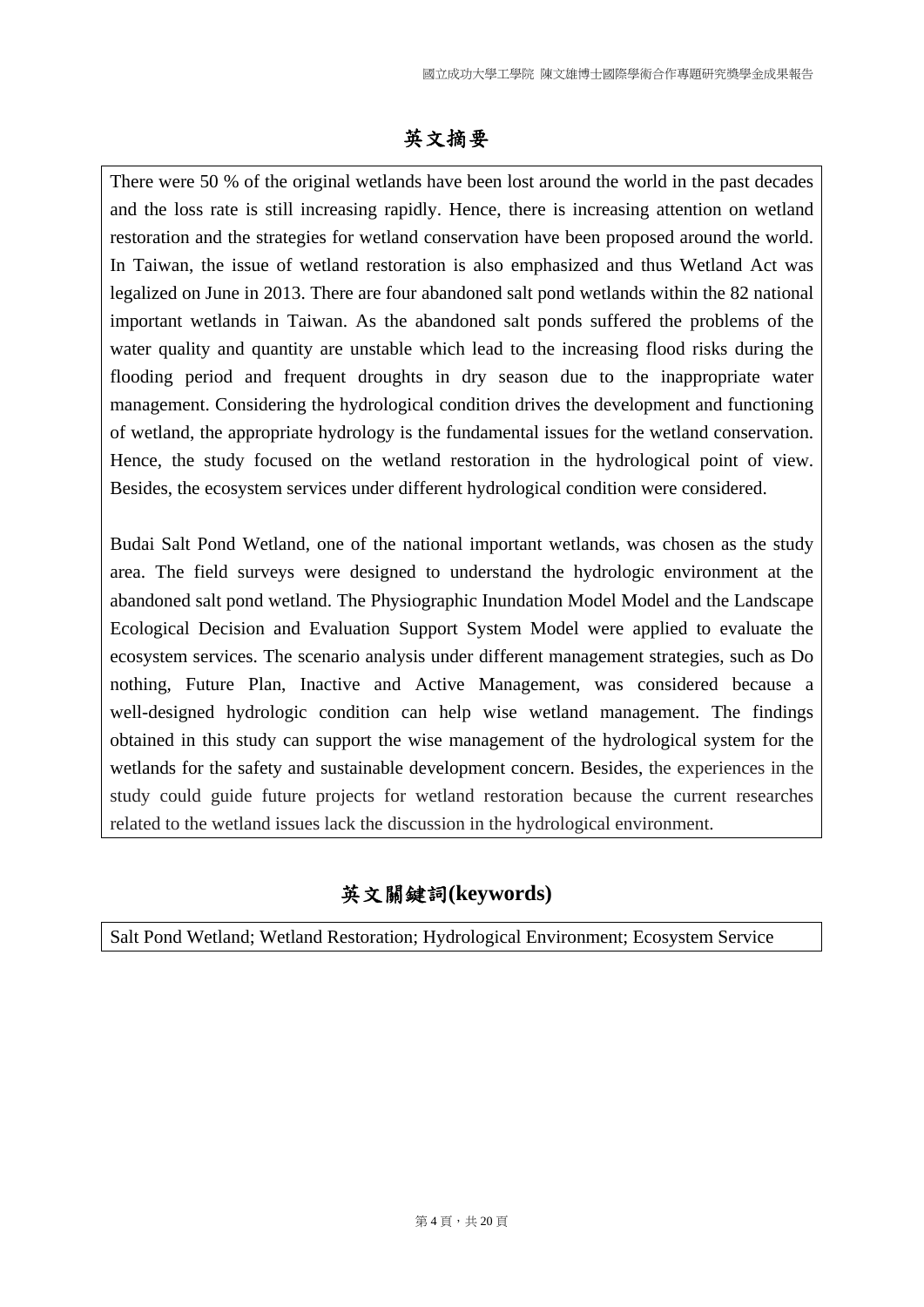# 英文摘要

There were 50 % of the original wetlands have been lost around the world in the past decades and the loss rate is still increasing rapidly. Hence, there is increasing attention on wetland restoration and the strategies for wetland conservation have been proposed around the world. In Taiwan, the issue of wetland restoration is also emphasized and thus Wetland Act was legalized on June in 2013. There are four abandoned salt pond wetlands within the 82 national important wetlands in Taiwan. As the abandoned salt ponds suffered the problems of the water quality and quantity are unstable which lead to the increasing flood risks during the flooding period and frequent droughts in dry season due to the inappropriate water management. Considering the hydrological condition drives the development and functioning of wetland, the appropriate hydrology is the fundamental issues for the wetland conservation. Hence, the study focused on the wetland restoration in the hydrological point of view. Besides, the ecosystem services under different hydrological condition were considered.

Budai Salt Pond Wetland, one of the national important wetlands, was chosen as the study area. The field surveys were designed to understand the hydrologic environment at the abandoned salt pond wetland. The Physiographic Inundation Model Model and the Landscape Ecological Decision and Evaluation Support System Model were applied to evaluate the ecosystem services. The scenario analysis under different management strategies, such as Do nothing, Future Plan, Inactive and Active Management, was considered because a well-designed hydrologic condition can help wise wetland management. The findings obtained in this study can support the wise management of the hydrological system for the wetlands for the safety and sustainable development concern. Besides, the experiences in the study could guide future projects for wetland restoration because the current researches related to the wetland issues lack the discussion in the hydrological environment.

# 英文關鍵詞**(keywords)**

Salt Pond Wetland; Wetland Restoration; Hydrological Environment; Ecosystem Service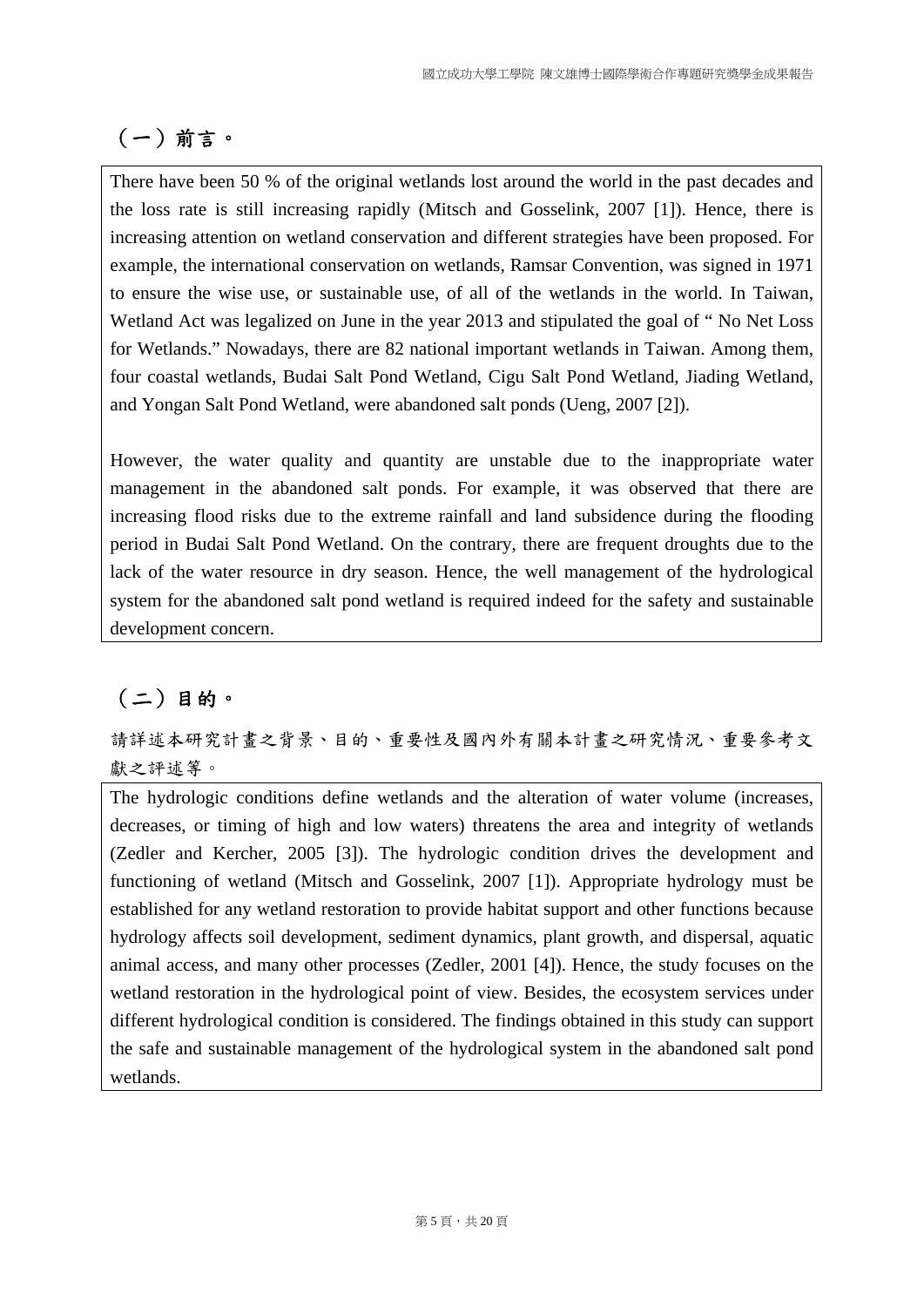# (一)前言。

There have been 50 % of the original wetlands lost around the world in the past decades and the loss rate is still increasing rapidly (Mitsch and Gosselink, 2007 [1]). Hence, there is increasing attention on wetland conservation and different strategies have been proposed. For example, the international conservation on wetlands, Ramsar Convention, was signed in 1971 to ensure the wise use, or sustainable use, of all of the wetlands in the world. In Taiwan, Wetland Act was legalized on June in the year 2013 and stipulated the goal of " No Net Loss for Wetlands." Nowadays, there are 82 national important wetlands in Taiwan. Among them, four coastal wetlands, Budai Salt Pond Wetland, Cigu Salt Pond Wetland, Jiading Wetland, and Yongan Salt Pond Wetland, were abandoned salt ponds (Ueng, 2007 [2]).

However, the water quality and quantity are unstable due to the inappropriate water management in the abandoned salt ponds. For example, it was observed that there are increasing flood risks due to the extreme rainfall and land subsidence during the flooding period in Budai Salt Pond Wetland. On the contrary, there are frequent droughts due to the lack of the water resource in dry season. Hence, the well management of the hydrological system for the abandoned salt pond wetland is required indeed for the safety and sustainable development concern.

# (二)目的。

請詳述本研究計畫之背景、目的、重要性及國內外有關本計畫之研究情況、重要參考文 獻之評述等。

The hydrologic conditions define wetlands and the alteration of water volume (increases, decreases, or timing of high and low waters) threatens the area and integrity of wetlands (Zedler and Kercher, 2005 [3]). The hydrologic condition drives the development and functioning of wetland (Mitsch and Gosselink, 2007 [1]). Appropriate hydrology must be established for any wetland restoration to provide habitat support and other functions because hydrology affects soil development, sediment dynamics, plant growth, and dispersal, aquatic animal access, and many other processes (Zedler, 2001 [4]). Hence, the study focuses on the wetland restoration in the hydrological point of view. Besides, the ecosystem services under different hydrological condition is considered. The findings obtained in this study can support the safe and sustainable management of the hydrological system in the abandoned salt pond wetlands.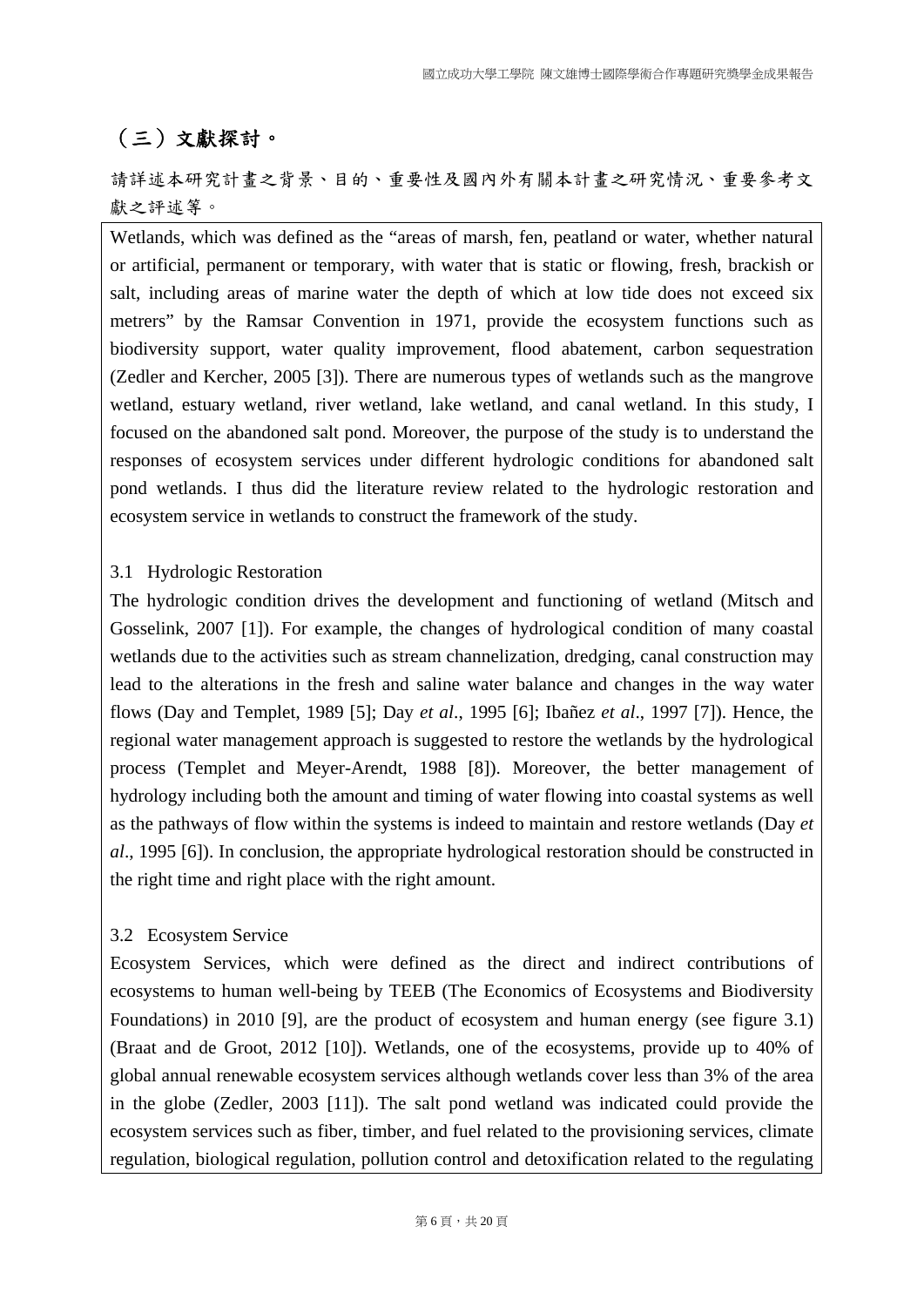## (三)文獻探討。

請詳述本研究計畫之背景、目的、重要性及國內外有關本計畫之研究情況、重要參考文 獻之評述等。

Wetlands, which was defined as the "areas of marsh, fen, peatland or water, whether natural or artificial, permanent or temporary, with water that is static or flowing, fresh, brackish or salt, including areas of marine water the depth of which at low tide does not exceed six metrers" by the Ramsar Convention in 1971, provide the ecosystem functions such as biodiversity support, water quality improvement, flood abatement, carbon sequestration (Zedler and Kercher, 2005 [3]). There are numerous types of wetlands such as the mangrove wetland, estuary wetland, river wetland, lake wetland, and canal wetland. In this study, I focused on the abandoned salt pond. Moreover, the purpose of the study is to understand the responses of ecosystem services under different hydrologic conditions for abandoned salt pond wetlands. I thus did the literature review related to the hydrologic restoration and ecosystem service in wetlands to construct the framework of the study.

#### 3.1 Hydrologic Restoration

The hydrologic condition drives the development and functioning of wetland (Mitsch and Gosselink, 2007 [1]). For example, the changes of hydrological condition of many coastal wetlands due to the activities such as stream channelization, dredging, canal construction may lead to the alterations in the fresh and saline water balance and changes in the way water flows (Day and Templet, 1989 [5]; Day *et al*., 1995 [6]; Ibañez *et al*., 1997 [7]). Hence, the regional water management approach is suggested to restore the wetlands by the hydrological process (Templet and Meyer-Arendt, 1988 [8]). Moreover, the better management of hydrology including both the amount and timing of water flowing into coastal systems as well as the pathways of flow within the systems is indeed to maintain and restore wetlands (Day *et al*., 1995 [6]). In conclusion, the appropriate hydrological restoration should be constructed in the right time and right place with the right amount.

#### 3.2 Ecosystem Service

Ecosystem Services, which were defined as the direct and indirect contributions of ecosystems to human well-being by TEEB (The Economics of Ecosystems and Biodiversity Foundations) in 2010 [9], are the product of ecosystem and human energy (see figure 3.1) (Braat and de Groot, 2012 [10]). Wetlands, one of the ecosystems, provide up to 40% of global annual renewable ecosystem services although wetlands cover less than 3% of the area in the globe (Zedler, 2003 [11]). The salt pond wetland was indicated could provide the ecosystem services such as fiber, timber, and fuel related to the provisioning services, climate regulation, biological regulation, pollution control and detoxification related to the regulating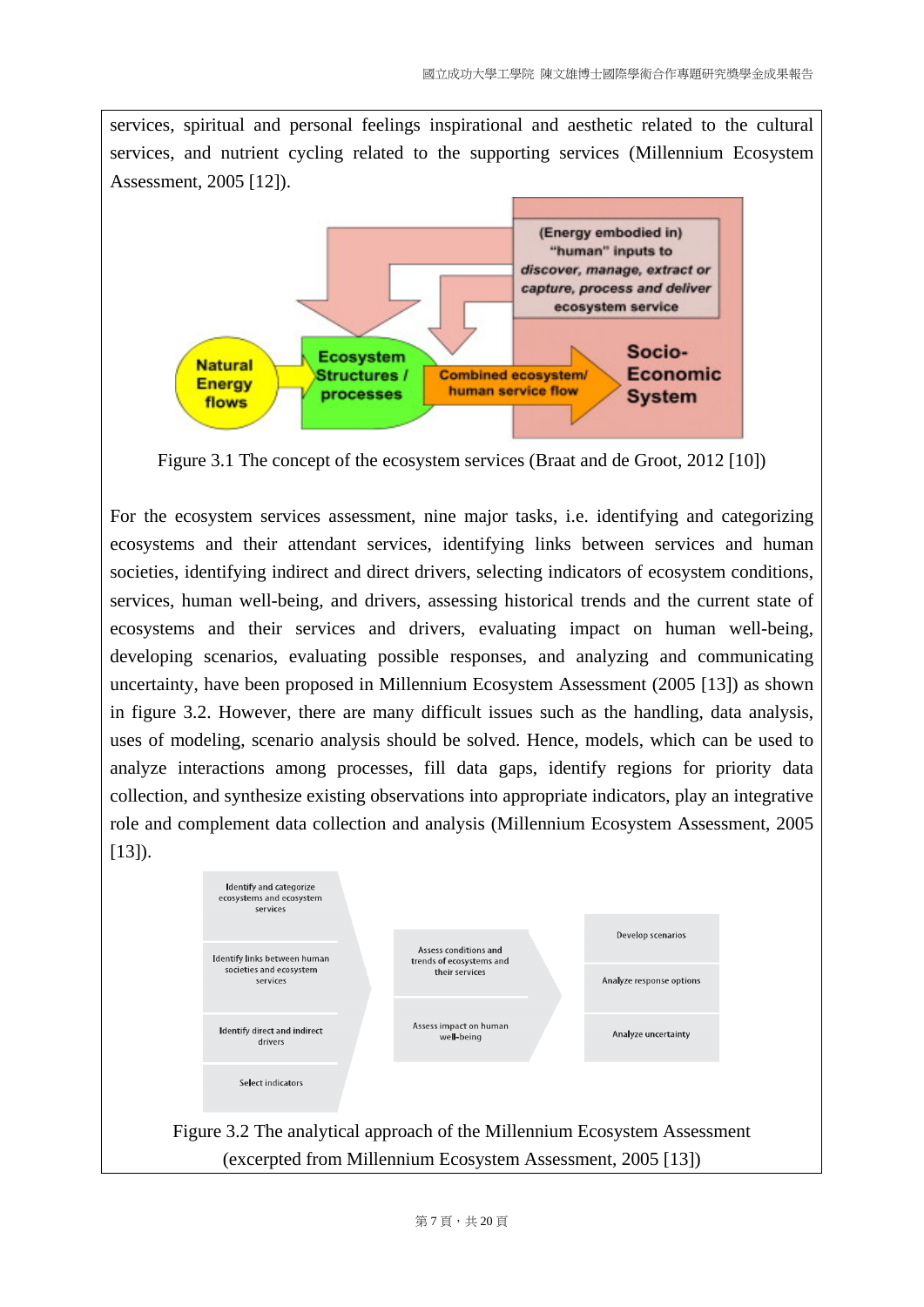services, spiritual and personal feelings inspirational and aesthetic related to the cultural services, and nutrient cycling related to the supporting services (Millennium Ecosystem Assessment, 2005 [12]).



Figure 3.1 The concept of the ecosystem services (Braat and de Groot, 2012 [10])

For the ecosystem services assessment, nine major tasks, i.e. identifying and categorizing ecosystems and their attendant services, identifying links between services and human societies, identifying indirect and direct drivers, selecting indicators of ecosystem conditions, services, human well-being, and drivers, assessing historical trends and the current state of ecosystems and their services and drivers, evaluating impact on human well-being, developing scenarios, evaluating possible responses, and analyzing and communicating uncertainty, have been proposed in Millennium Ecosystem Assessment (2005 [13]) as shown in figure 3.2. However, there are many difficult issues such as the handling, data analysis, uses of modeling, scenario analysis should be solved. Hence, models, which can be used to analyze interactions among processes, fill data gaps, identify regions for priority data collection, and synthesize existing observations into appropriate indicators, play an integrative role and complement data collection and analysis (Millennium Ecosystem Assessment, 2005  $[13]$ ).

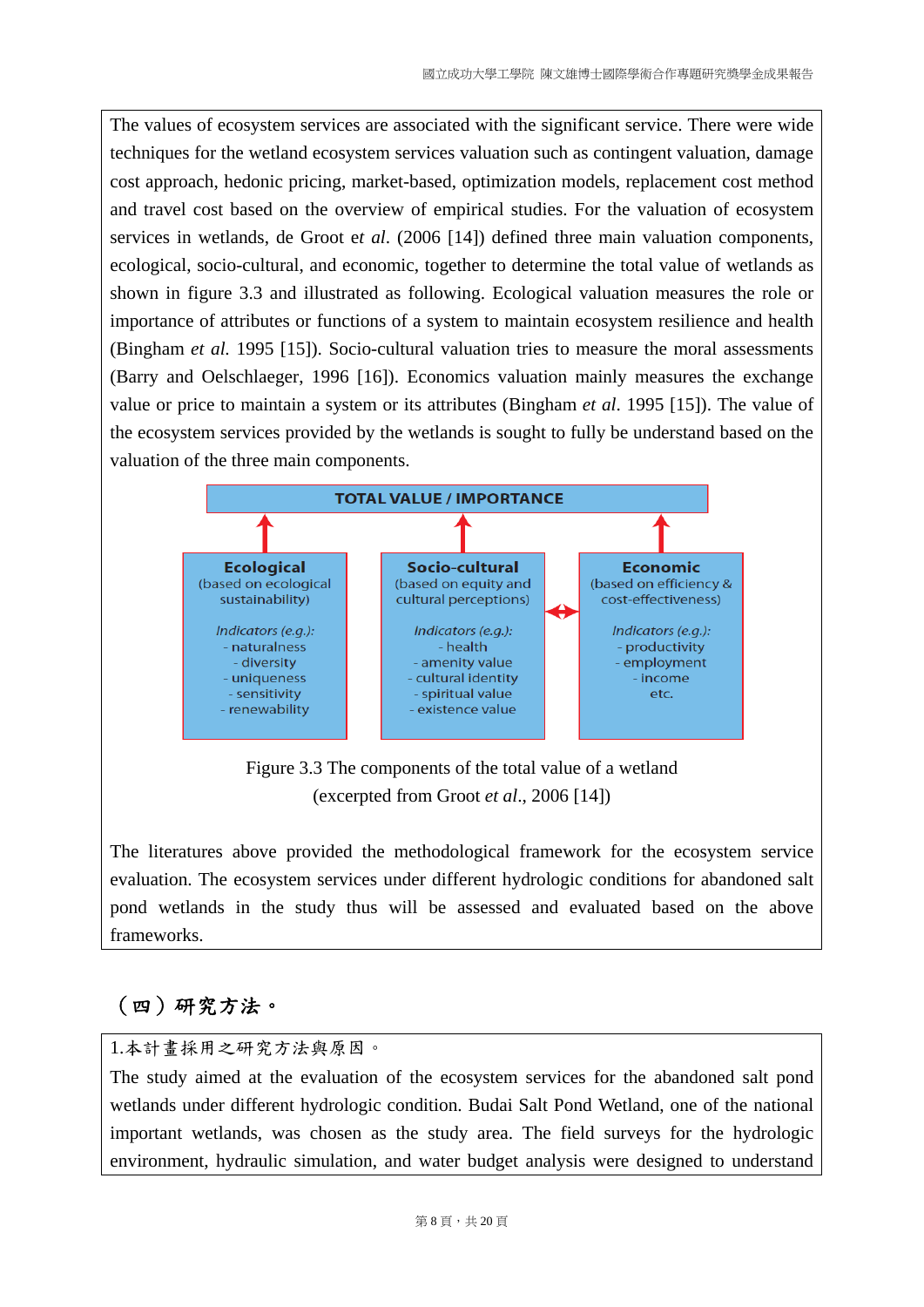The values of ecosystem services are associated with the significant service. There were wide techniques for the wetland ecosystem services valuation such as contingent valuation, damage cost approach, hedonic pricing, market-based, optimization models, replacement cost method and travel cost based on the overview of empirical studies. For the valuation of ecosystem services in wetlands, de Groot e*t al*. (2006 [14]) defined three main valuation components, ecological, socio-cultural, and economic, together to determine the total value of wetlands as shown in figure 3.3 and illustrated as following. Ecological valuation measures the role or importance of attributes or functions of a system to maintain ecosystem resilience and health (Bingham *et al.* 1995 [15]). Socio-cultural valuation tries to measure the moral assessments (Barry and Oelschlaeger, 1996 [16]). Economics valuation mainly measures the exchange value or price to maintain a system or its attributes (Bingham *et al*. 1995 [15]). The value of the ecosystem services provided by the wetlands is sought to fully be understand based on the valuation of the three main components.



Figure 3.3 The components of the total value of a wetland (excerpted from Groot *et al*., 2006 [14])

The literatures above provided the methodological framework for the ecosystem service evaluation. The ecosystem services under different hydrologic conditions for abandoned salt pond wetlands in the study thus will be assessed and evaluated based on the above frameworks.

# (四)研究方法。

#### 1.本計畫採用之研究方法與原因。

The study aimed at the evaluation of the ecosystem services for the abandoned salt pond wetlands under different hydrologic condition. Budai Salt Pond Wetland, one of the national important wetlands, was chosen as the study area. The field surveys for the hydrologic environment, hydraulic simulation, and water budget analysis were designed to understand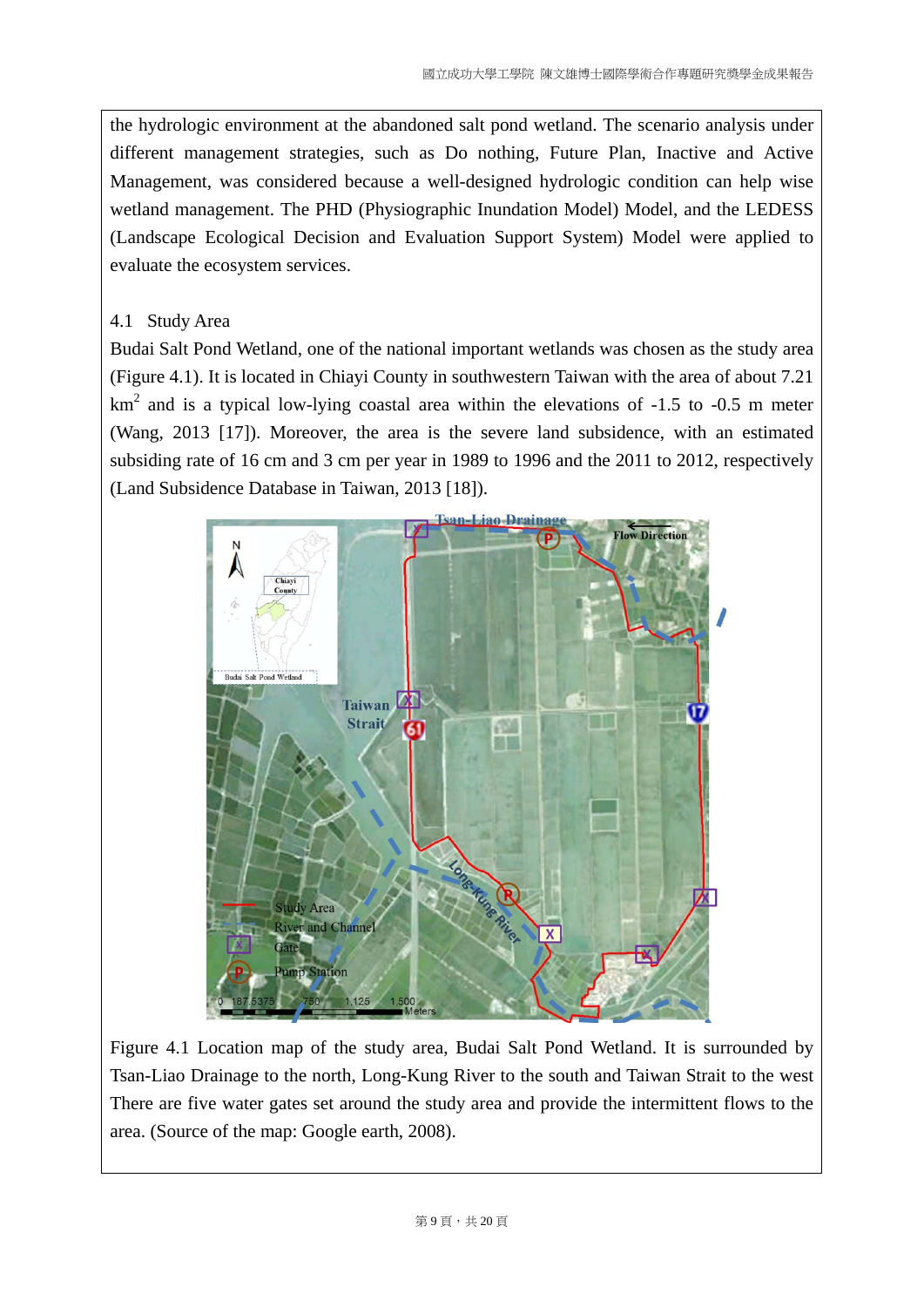the hydrologic environment at the abandoned salt pond wetland. The scenario analysis under different management strategies, such as Do nothing, Future Plan, Inactive and Active Management, was considered because a well-designed hydrologic condition can help wise wetland management. The PHD (Physiographic Inundation Model) Model, and the LEDESS (Landscape Ecological Decision and Evaluation Support System) Model were applied to evaluate the ecosystem services.

### 4.1 Study Area

Budai Salt Pond Wetland, one of the national important wetlands was chosen as the study area (Figure 4.1). It is located in Chiayi County in southwestern Taiwan with the area of about 7.21  $km<sup>2</sup>$  and is a typical low-lying coastal area within the elevations of -1.5 to -0.5 m meter (Wang, 2013 [17]). Moreover, the area is the severe land subsidence, with an estimated subsiding rate of 16 cm and 3 cm per year in 1989 to 1996 and the 2011 to 2012, respectively (Land Subsidence Database in Taiwan, 2013 [18]).



Figure 4.1 Location map of the study area, Budai Salt Pond Wetland. It is surrounded by Tsan-Liao Drainage to the north, Long-Kung River to the south and Taiwan Strait to the west There are five water gates set around the study area and provide the intermittent flows to the area. (Source of the map: Google earth, 2008).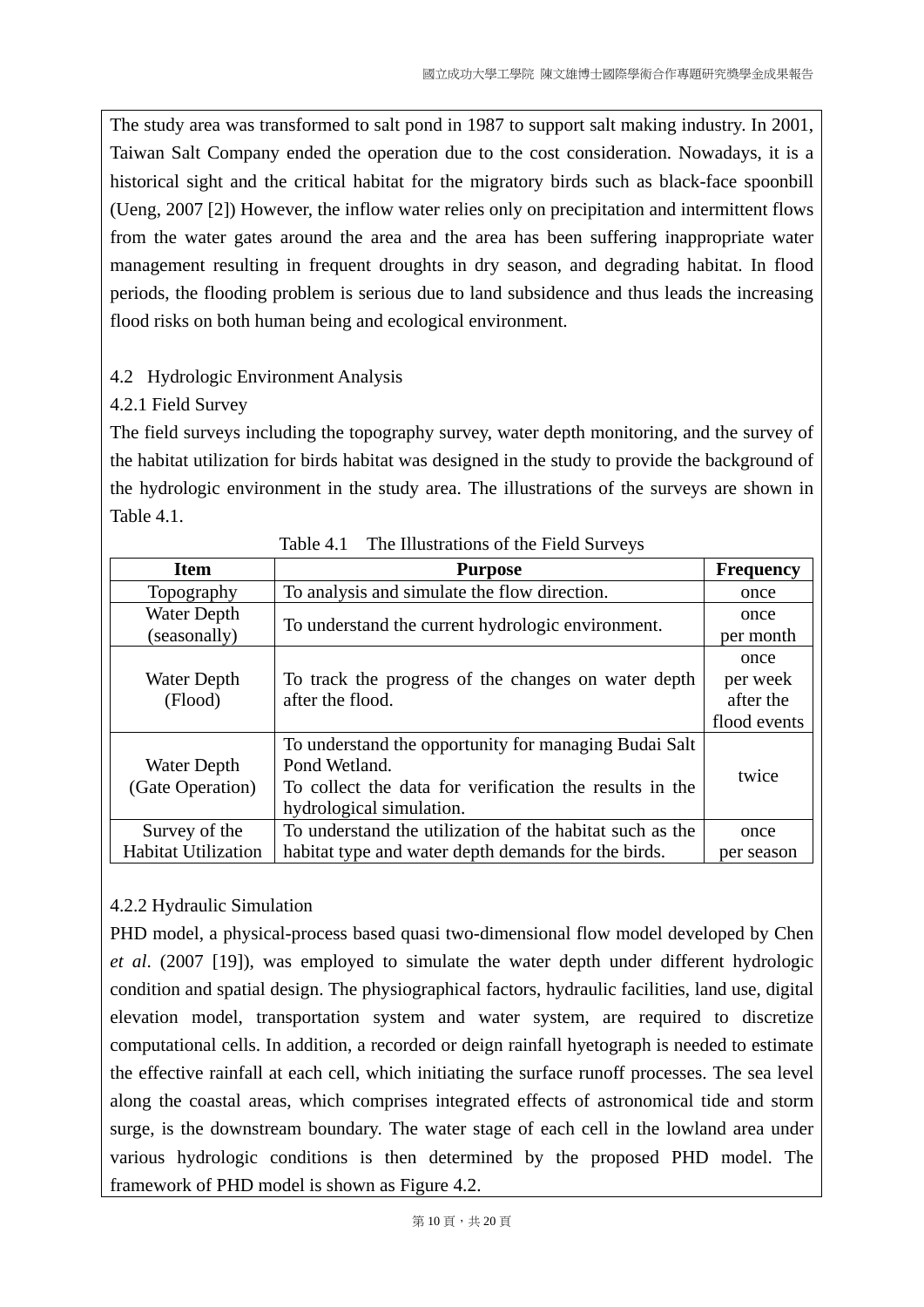The study area was transformed to salt pond in 1987 to support salt making industry. In 2001, Taiwan Salt Company ended the operation due to the cost consideration. Nowadays, it is a historical sight and the critical habitat for the migratory birds such as black-face spoonbill (Ueng, 2007 [2]) However, the inflow water relies only on precipitation and intermittent flows from the water gates around the area and the area has been suffering inappropriate water management resulting in frequent droughts in dry season, and degrading habitat. In flood periods, the flooding problem is serious due to land subsidence and thus leads the increasing flood risks on both human being and ecological environment.

## 4.2 Hydrologic Environment Analysis

## 4.2.1 Field Survey

The field surveys including the topography survey, water depth monitoring, and the survey of the habitat utilization for birds habitat was designed in the study to provide the background of the hydrologic environment in the study area. The illustrations of the surveys are shown in Table 4.1.

| <b>Item</b>                | <b>Purpose</b>                                                         | <b>Frequency</b> |
|----------------------------|------------------------------------------------------------------------|------------------|
| Topography                 | To analysis and simulate the flow direction.                           | once             |
| Water Depth                | To understand the current hydrologic environment.                      | once             |
| (seasonally)               |                                                                        | per month        |
|                            |                                                                        | once             |
| Water Depth<br>(Flood)     | To track the progress of the changes on water depth                    | per week         |
|                            | after the flood.                                                       | after the        |
|                            |                                                                        | flood events     |
| Water Depth                | To understand the opportunity for managing Budai Salt<br>Pond Wetland. |                  |
| (Gate Operation)           | To collect the data for verification the results in the                | twice            |
|                            | hydrological simulation.                                               |                  |
| Survey of the              | To understand the utilization of the habitat such as the               | once             |
| <b>Habitat Utilization</b> | habitat type and water depth demands for the birds.                    | per season       |

Table 4.1 The Illustrations of the Field Surveys

## 4.2.2 Hydraulic Simulation

PHD model, a physical-process based quasi two-dimensional flow model developed by Chen *et al*. (2007 [19]), was employed to simulate the water depth under different hydrologic condition and spatial design. The physiographical factors, hydraulic facilities, land use, digital elevation model, transportation system and water system, are required to discretize computational cells. In addition, a recorded or deign rainfall hyetograph is needed to estimate the effective rainfall at each cell, which initiating the surface runoff processes. The sea level along the coastal areas, which comprises integrated effects of astronomical tide and storm surge, is the downstream boundary. The water stage of each cell in the lowland area under various hydrologic conditions is then determined by the proposed PHD model. The framework of PHD model is shown as Figure 4.2.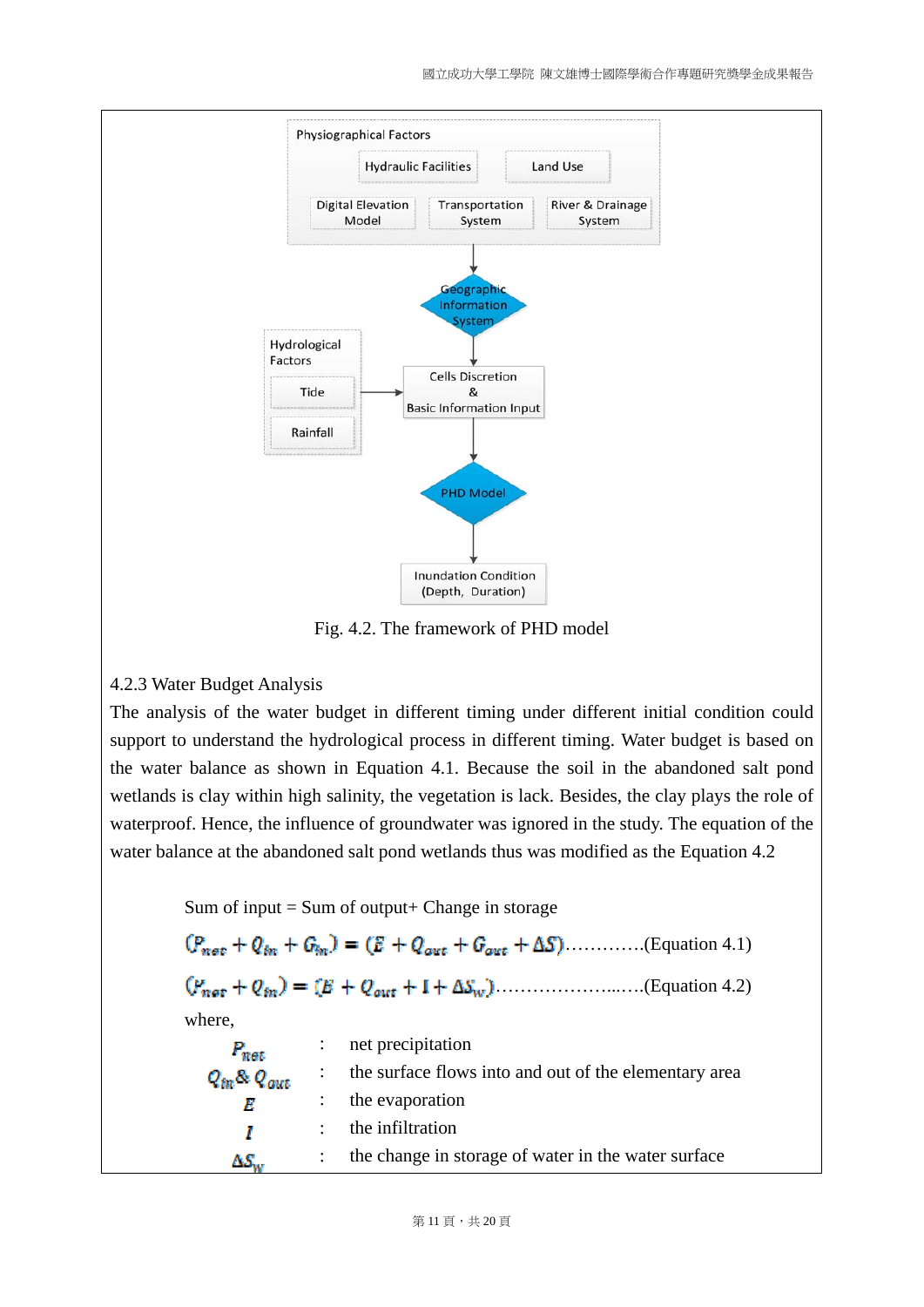

Fig. 4.2. The framework of PHD model

#### 4.2.3 Water Budget Analysis

The analysis of the water budget in different timing under different initial condition could support to understand the hydrological process in different timing. Water budget is based on the water balance as shown in Equation 4.1. Because the soil in the abandoned salt pond wetlands is clay within high salinity, the vegetation is lack. Besides, the clay plays the role of waterproof. Hence, the influence of groundwater was ignored in the study. The equation of the water balance at the abandoned salt pond wetlands thus was modified as the Equation 4.2

Sum of input  $=$  Sum of output $+$  Change in storage  $(P_{\text{net}} + Q_{\text{in}} + G_{\text{in}}) = (E + Q_{\text{out}} + G_{\text{out}} + \Delta S)$ ............(Equation 4.1) ………………...….(Equation 4.2) where, : net precipitation  $P_{nat}$ : the surface flows into and out of the elementary area  $Q_{in}$ &  $Q_{out}$ : the evaporation R : the infiltration T : the change in storage of water in the water surface  $\Delta S_{\rm\omega}$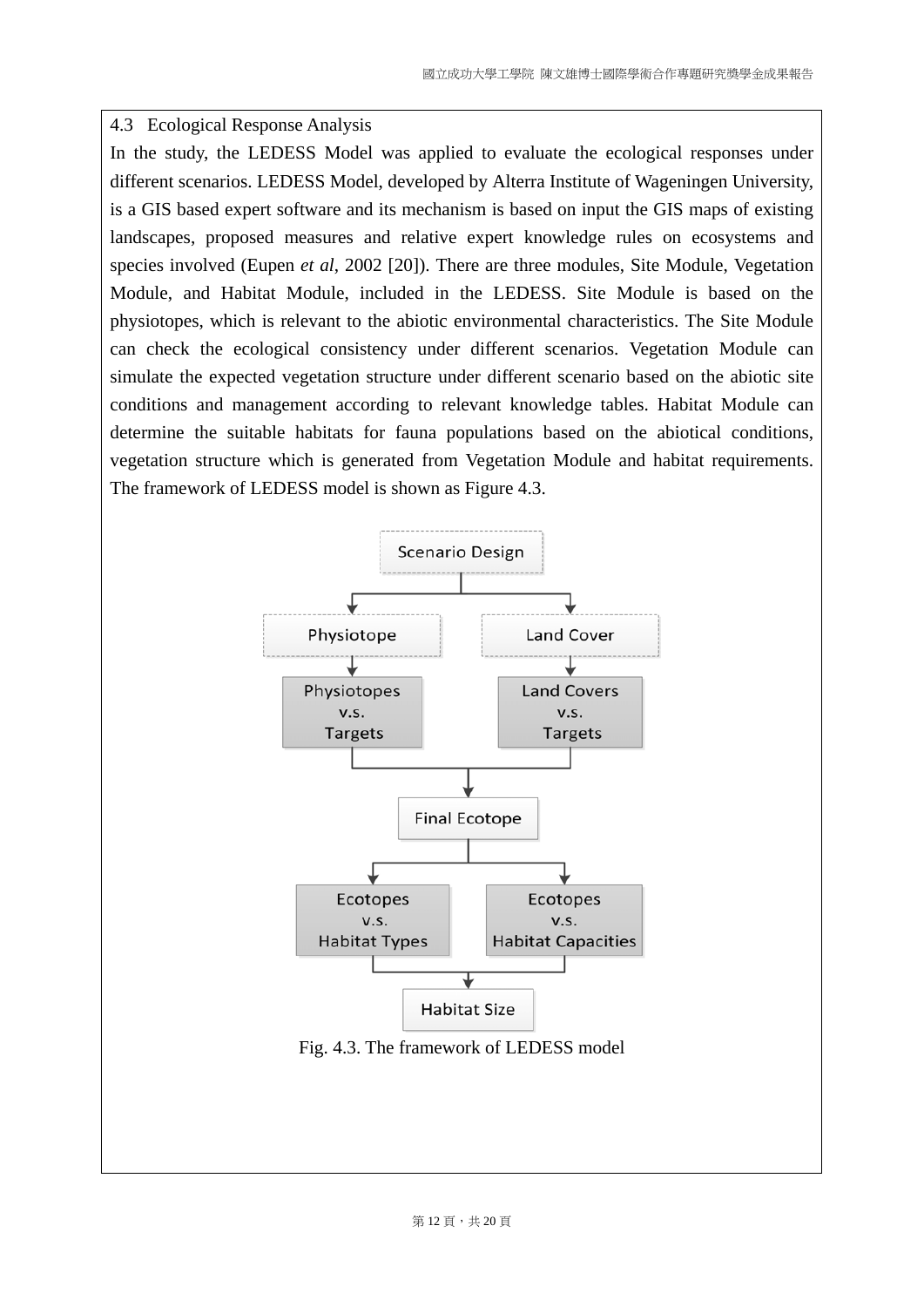#### 4.3 Ecological Response Analysis

In the study, the LEDESS Model was applied to evaluate the ecological responses under different scenarios. LEDESS Model, developed by Alterra Institute of Wageningen University, is a GIS based expert software and its mechanism is based on input the GIS maps of existing landscapes, proposed measures and relative expert knowledge rules on ecosystems and species involved (Eupen *et al*, 2002 [20]). There are three modules, Site Module, Vegetation Module, and Habitat Module, included in the LEDESS. Site Module is based on the physiotopes, which is relevant to the abiotic environmental characteristics. The Site Module can check the ecological consistency under different scenarios. Vegetation Module can simulate the expected vegetation structure under different scenario based on the abiotic site conditions and management according to relevant knowledge tables. Habitat Module can determine the suitable habitats for fauna populations based on the abiotical conditions, vegetation structure which is generated from Vegetation Module and habitat requirements. The framework of LEDESS model is shown as Figure 4.3.

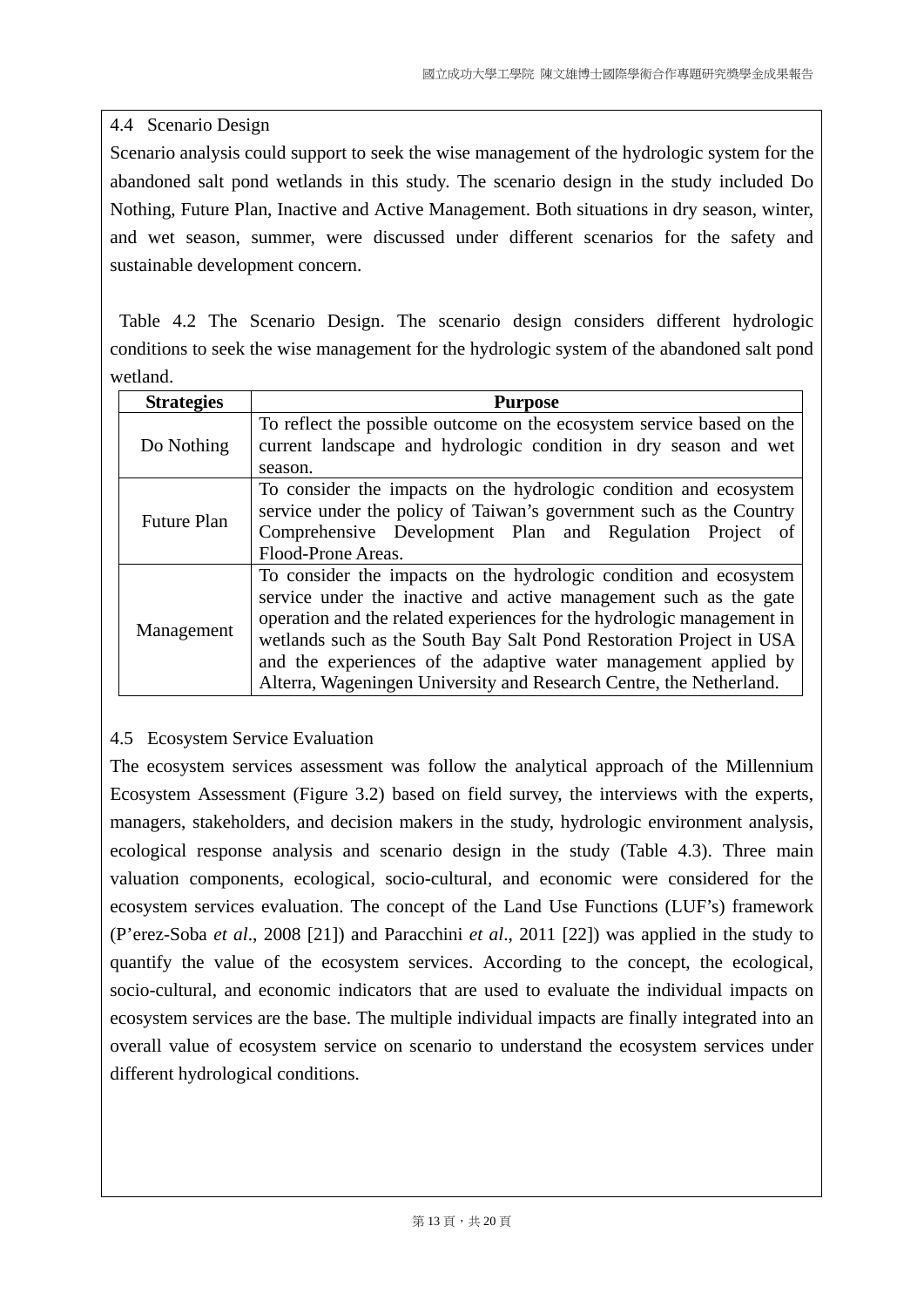### 4.4 Scenario Design

Scenario analysis could support to seek the wise management of the hydrologic system for the abandoned salt pond wetlands in this study. The scenario design in the study included Do Nothing, Future Plan, Inactive and Active Management. Both situations in dry season, winter, and wet season, summer, were discussed under different scenarios for the safety and sustainable development concern.

 Table 4.2 The Scenario Design. The scenario design considers different hydrologic conditions to seek the wise management for the hydrologic system of the abandoned salt pond wetland.

| <b>Strategies</b>                                                                                                                                                                                                                                | <b>Purpose</b>                                                                                                                                                                                                                                                                                                                                                                                                                    |  |
|--------------------------------------------------------------------------------------------------------------------------------------------------------------------------------------------------------------------------------------------------|-----------------------------------------------------------------------------------------------------------------------------------------------------------------------------------------------------------------------------------------------------------------------------------------------------------------------------------------------------------------------------------------------------------------------------------|--|
| Do Nothing                                                                                                                                                                                                                                       | To reflect the possible outcome on the ecosystem service based on the<br>current landscape and hydrologic condition in dry season and wet                                                                                                                                                                                                                                                                                         |  |
|                                                                                                                                                                                                                                                  | season.                                                                                                                                                                                                                                                                                                                                                                                                                           |  |
| To consider the impacts on the hydrologic condition and ecosystem<br>service under the policy of Taiwan's government such as the Country<br><b>Future Plan</b><br>Comprehensive Development Plan and Regulation Project of<br>Flood-Prone Areas. |                                                                                                                                                                                                                                                                                                                                                                                                                                   |  |
| Management                                                                                                                                                                                                                                       | To consider the impacts on the hydrologic condition and ecosystem<br>service under the inactive and active management such as the gate<br>operation and the related experiences for the hydrologic management in<br>wetlands such as the South Bay Salt Pond Restoration Project in USA<br>and the experiences of the adaptive water management applied by<br>Alterra, Wageningen University and Research Centre, the Netherland. |  |

## 4.5 Ecosystem Service Evaluation

The ecosystem services assessment was follow the analytical approach of the Millennium Ecosystem Assessment (Figure 3.2) based on field survey, the interviews with the experts, managers, stakeholders, and decision makers in the study, hydrologic environment analysis, ecological response analysis and scenario design in the study (Table 4.3). Three main valuation components, ecological, socio-cultural, and economic were considered for the ecosystem services evaluation. The concept of the Land Use Functions (LUF's) framework (P'erez-Soba *et al*., 2008 [21]) and Paracchini *et al*., 2011 [22]) was applied in the study to quantify the value of the ecosystem services. According to the concept, the ecological, socio-cultural, and economic indicators that are used to evaluate the individual impacts on ecosystem services are the base. The multiple individual impacts are finally integrated into an overall value of ecosystem service on scenario to understand the ecosystem services under different hydrological conditions.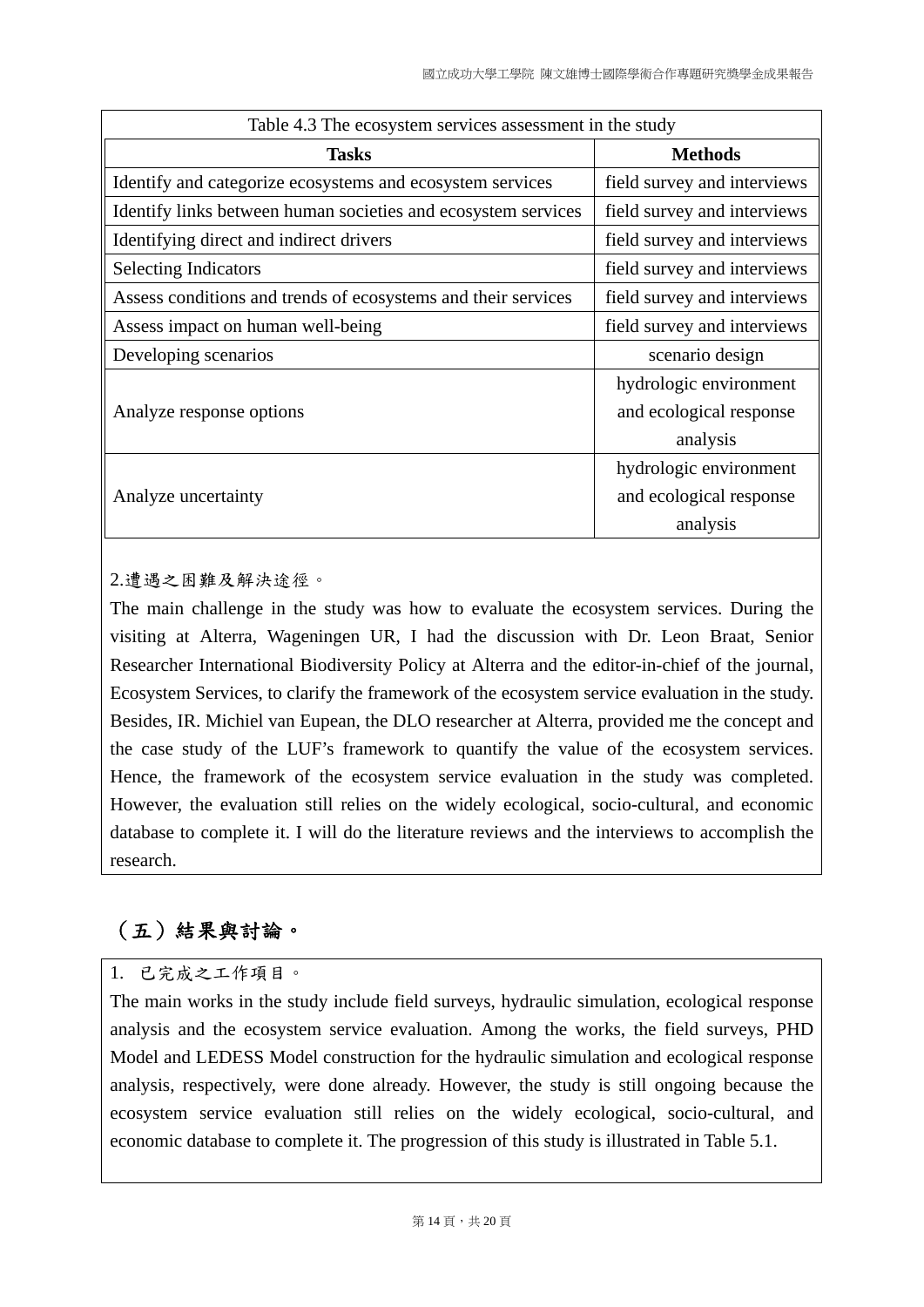| Table 4.3 The ecosystem services assessment in the study      |                             |  |
|---------------------------------------------------------------|-----------------------------|--|
| <b>Tasks</b>                                                  | <b>Methods</b>              |  |
| Identify and categorize ecosystems and ecosystem services     | field survey and interviews |  |
| Identify links between human societies and ecosystem services | field survey and interviews |  |
| Identifying direct and indirect drivers                       | field survey and interviews |  |
| <b>Selecting Indicators</b>                                   | field survey and interviews |  |
| Assess conditions and trends of ecosystems and their services | field survey and interviews |  |
| Assess impact on human well-being                             | field survey and interviews |  |
| Developing scenarios                                          | scenario design             |  |
|                                                               | hydrologic environment      |  |
| Analyze response options                                      | and ecological response     |  |
|                                                               | analysis                    |  |
|                                                               | hydrologic environment      |  |
| Analyze uncertainty                                           | and ecological response     |  |
|                                                               | analysis                    |  |

2.遭遇之困難及解決途徑。

The main challenge in the study was how to evaluate the ecosystem services. During the visiting at Alterra, Wageningen UR, I had the discussion with Dr. Leon Braat, Senior Researcher International Biodiversity Policy at Alterra and the editor-in-chief of the journal, Ecosystem Services, to clarify the framework of the ecosystem service evaluation in the study. Besides, IR. Michiel van Eupean, the DLO researcher at Alterra, provided me the concept and the case study of the LUF's framework to quantify the value of the ecosystem services. Hence, the framework of the ecosystem service evaluation in the study was completed. However, the evaluation still relies on the widely ecological, socio-cultural, and economic database to complete it. I will do the literature reviews and the interviews to accomplish the research.

# (五)結果與討論。

## 1. 已完成之工作項目。

The main works in the study include field surveys, hydraulic simulation, ecological response analysis and the ecosystem service evaluation. Among the works, the field surveys, PHD Model and LEDESS Model construction for the hydraulic simulation and ecological response analysis, respectively, were done already. However, the study is still ongoing because the ecosystem service evaluation still relies on the widely ecological, socio-cultural, and economic database to complete it. The progression of this study is illustrated in Table 5.1.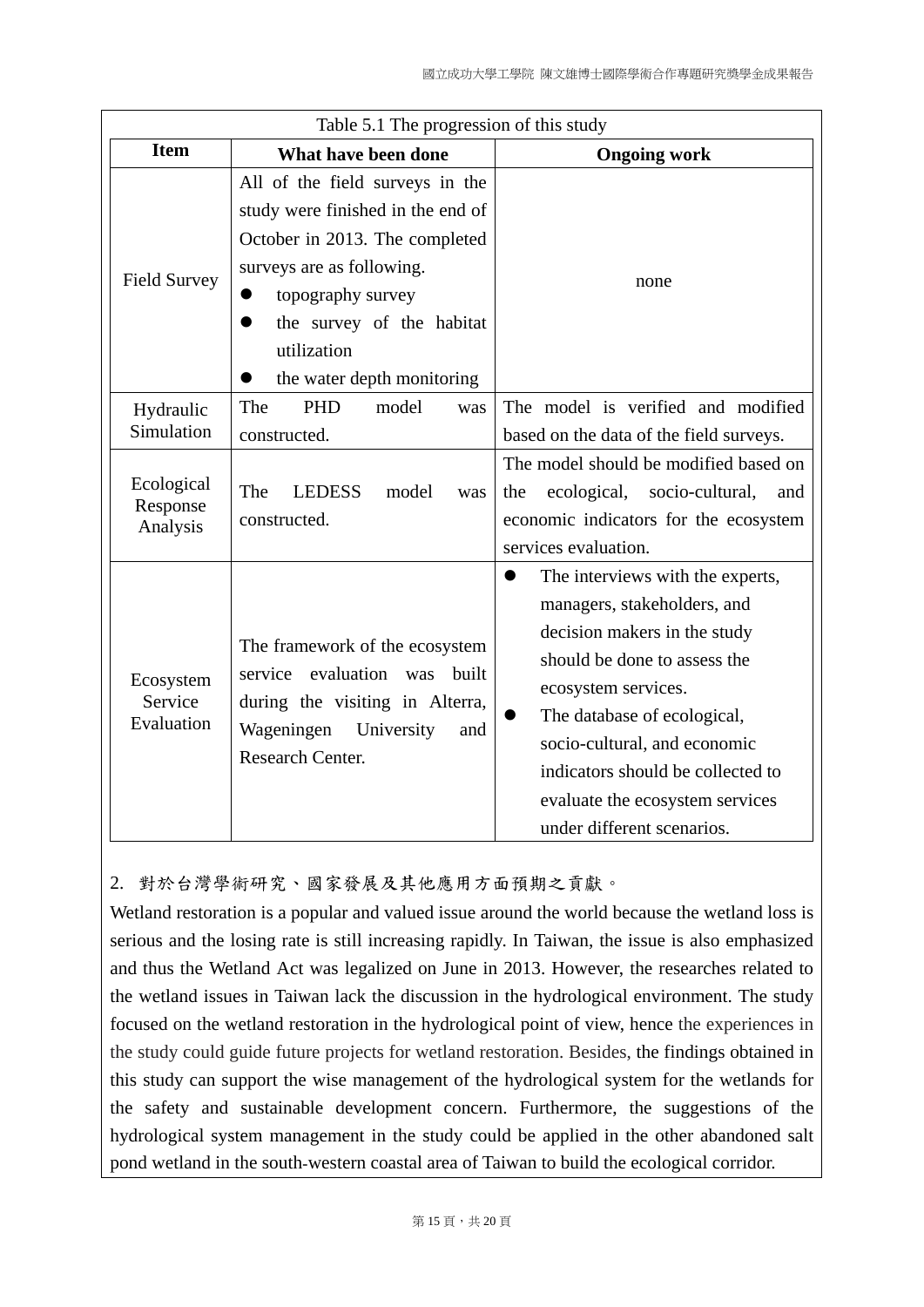| Table 5.1 The progression of this study |                                                                                                                                                                                                                                    |                                                                                                                                                                                                                                                                                                                                          |
|-----------------------------------------|------------------------------------------------------------------------------------------------------------------------------------------------------------------------------------------------------------------------------------|------------------------------------------------------------------------------------------------------------------------------------------------------------------------------------------------------------------------------------------------------------------------------------------------------------------------------------------|
| <b>Item</b>                             | What have been done                                                                                                                                                                                                                | <b>Ongoing work</b>                                                                                                                                                                                                                                                                                                                      |
| <b>Field Survey</b>                     | All of the field surveys in the<br>study were finished in the end of<br>October in 2013. The completed<br>surveys are as following.<br>topography survey<br>the survey of the habitat<br>utilization<br>the water depth monitoring | none                                                                                                                                                                                                                                                                                                                                     |
| Hydraulic<br>Simulation                 | <b>PHD</b><br>model<br>The<br>was<br>constructed.                                                                                                                                                                                  | The model is verified and modified<br>based on the data of the field surveys.                                                                                                                                                                                                                                                            |
| Ecological<br>Response<br>Analysis      | The<br><b>LEDESS</b><br>model<br>was<br>constructed.                                                                                                                                                                               | The model should be modified based on<br>ecological, socio-cultural,<br>the<br>and<br>economic indicators for the ecosystem<br>services evaluation.                                                                                                                                                                                      |
| Ecosystem<br>Service<br>Evaluation      | The framework of the ecosystem<br>service evaluation was<br>built<br>during the visiting in Alterra,<br>Wageningen<br>University<br>and<br><b>Research Center.</b>                                                                 | The interviews with the experts,<br>$\bullet$<br>managers, stakeholders, and<br>decision makers in the study<br>should be done to assess the<br>ecosystem services.<br>The database of ecological,<br>socio-cultural, and economic<br>indicators should be collected to<br>evaluate the ecosystem services<br>under different scenarios. |

2. 對於台灣學術研究、國家發展及其他應用方面預期之貢獻。

Wetland restoration is a popular and valued issue around the world because the wetland loss is serious and the losing rate is still increasing rapidly. In Taiwan, the issue is also emphasized and thus the Wetland Act was legalized on June in 2013. However, the researches related to the wetland issues in Taiwan lack the discussion in the hydrological environment. The study focused on the wetland restoration in the hydrological point of view, hence the experiences in the study could guide future projects for wetland restoration. Besides, the findings obtained in this study can support the wise management of the hydrological system for the wetlands for the safety and sustainable development concern. Furthermore, the suggestions of the hydrological system management in the study could be applied in the other abandoned salt pond wetland in the south-western coastal area of Taiwan to build the ecological corridor.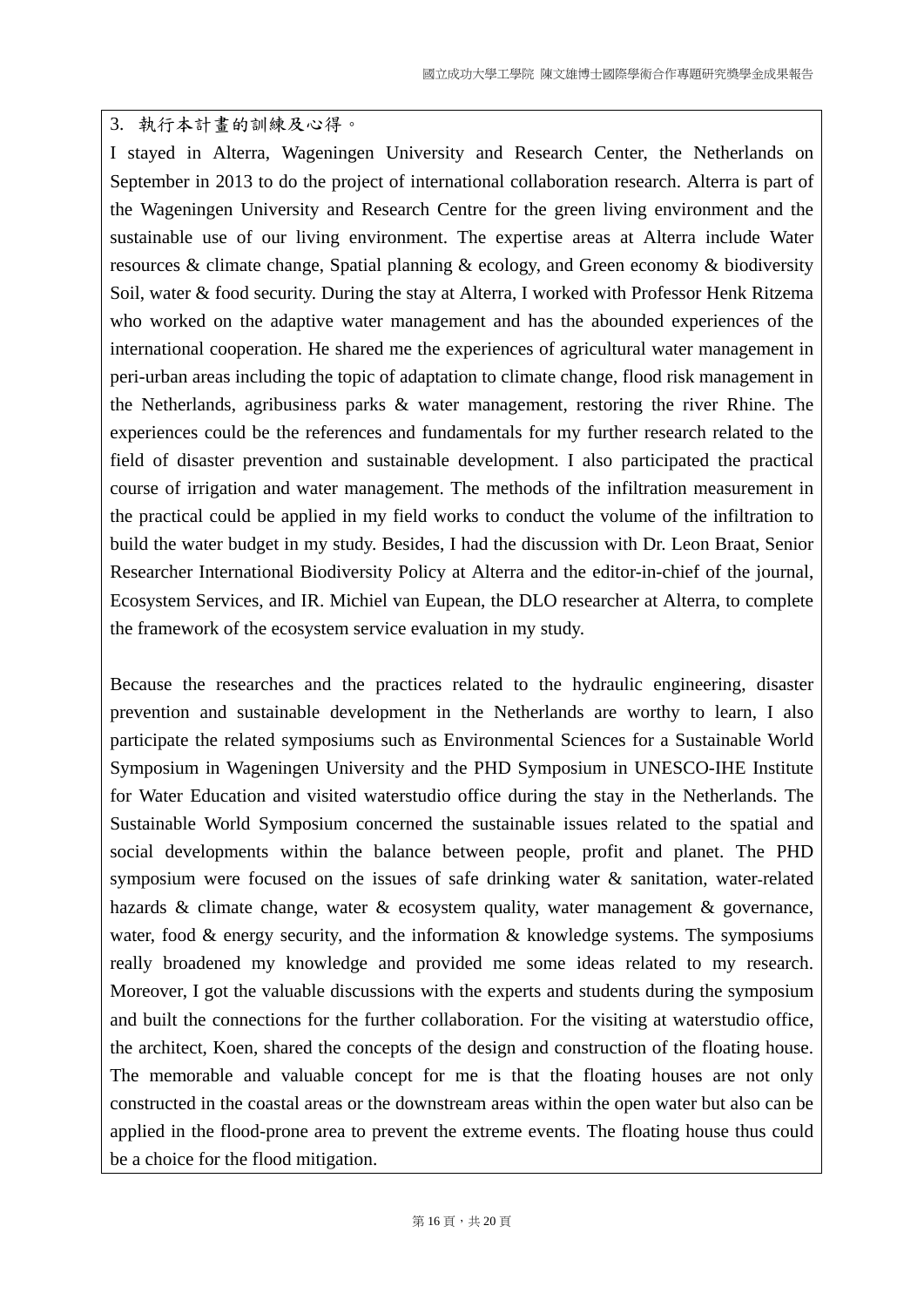#### 3. 執行本計畫的訓練及心得。

I stayed in Alterra, Wageningen University and Research Center, the Netherlands on September in 2013 to do the project of international collaboration research. Alterra is part of the Wageningen University and Research Centre for the green living environment and the sustainable use of our living environment. The expertise areas at Alterra include Water resources & climate change, Spatial planning & ecology, and Green economy & biodiversity Soil, water & food security. During the stay at Alterra, I worked with Professor Henk Ritzema who worked on the adaptive water management and has the abounded experiences of the international cooperation. He shared me the experiences of agricultural water management in peri-urban areas including the topic of adaptation to climate change, flood risk management in the Netherlands, agribusiness parks & water management, restoring the river Rhine. The experiences could be the references and fundamentals for my further research related to the field of disaster prevention and sustainable development. I also participated the practical course of irrigation and water management. The methods of the infiltration measurement in the practical could be applied in my field works to conduct the volume of the infiltration to build the water budget in my study. Besides, I had the discussion with Dr. Leon Braat, Senior Researcher International Biodiversity Policy at Alterra and the editor-in-chief of the journal, Ecosystem Services, and IR. Michiel van Eupean, the DLO researcher at Alterra, to complete the framework of the ecosystem service evaluation in my study.

Because the researches and the practices related to the hydraulic engineering, disaster prevention and sustainable development in the Netherlands are worthy to learn, I also participate the related symposiums such as Environmental Sciences for a Sustainable World Symposium in Wageningen University and the PHD Symposium in UNESCO-IHE Institute for Water Education and visited waterstudio office during the stay in the Netherlands. The Sustainable World Symposium concerned the sustainable issues related to the spatial and social developments within the balance between people, profit and planet. The PHD symposium were focused on the issues of safe drinking water  $\&$  sanitation, water-related hazards & climate change, water & ecosystem quality, water management & governance, water, food  $\&$  energy security, and the information  $\&$  knowledge systems. The symposiums really broadened my knowledge and provided me some ideas related to my research. Moreover, I got the valuable discussions with the experts and students during the symposium and built the connections for the further collaboration. For the visiting at waterstudio office, the architect, Koen, shared the concepts of the design and construction of the floating house. The memorable and valuable concept for me is that the floating houses are not only constructed in the coastal areas or the downstream areas within the open water but also can be applied in the flood-prone area to prevent the extreme events. The floating house thus could be a choice for the flood mitigation.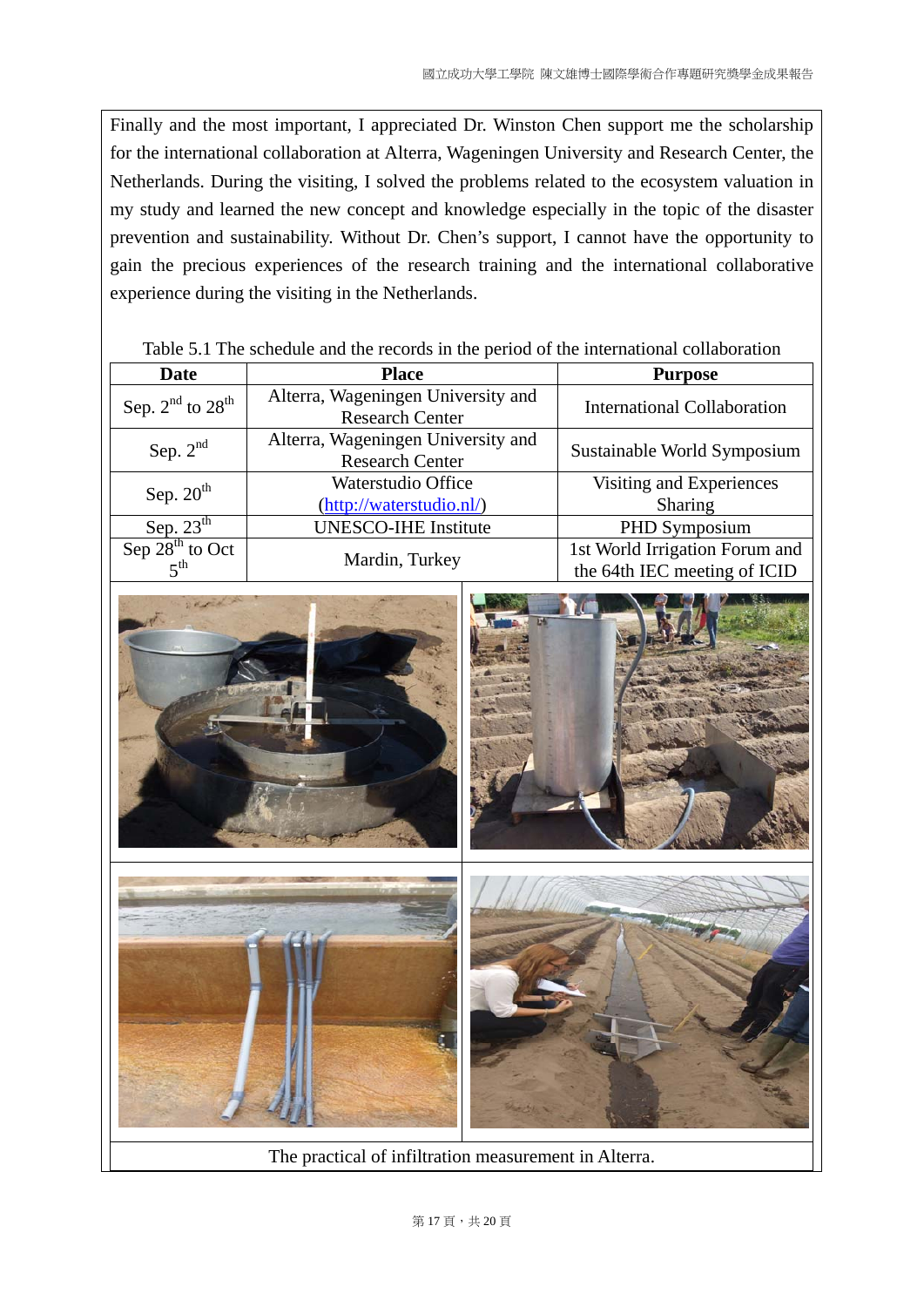Finally and the most important, I appreciated Dr. Winston Chen support me the scholarship for the international collaboration at Alterra, Wageningen University and Research Center, the Netherlands. During the visiting, I solved the problems related to the ecosystem valuation in my study and learned the new concept and knowledge especially in the topic of the disaster prevention and sustainability. Without Dr. Chen's support, I cannot have the opportunity to gain the precious experiences of the research training and the international collaborative experience during the visiting in the Netherlands.

| <b>Date</b>          | <b>Place</b>                                                 | <b>Purpose</b>                                                 |
|----------------------|--------------------------------------------------------------|----------------------------------------------------------------|
| Sep. $2nd$ to $28th$ | Alterra, Wageningen University and<br><b>Research Center</b> | <b>International Collaboration</b>                             |
| Sep. $2^{nd}$        | Alterra, Wageningen University and<br><b>Research Center</b> | Sustainable World Symposium                                    |
| Sep. $20th$          | Waterstudio Office<br>(http://waterstudio.nl/)               | Visiting and Experiences<br>Sharing                            |
| Sep. $23th$          | <b>UNESCO-IHE Institute</b>                                  | PHD Symposium                                                  |
| Sep $28^{th}$ to Oct | Mardin, Turkey                                               | 1st World Irrigation Forum and<br>the 64th IEC meeting of ICID |

#### Table 5.1 The schedule and the records in the period of the international collaboration



The practical of infiltration measurement in Alterra.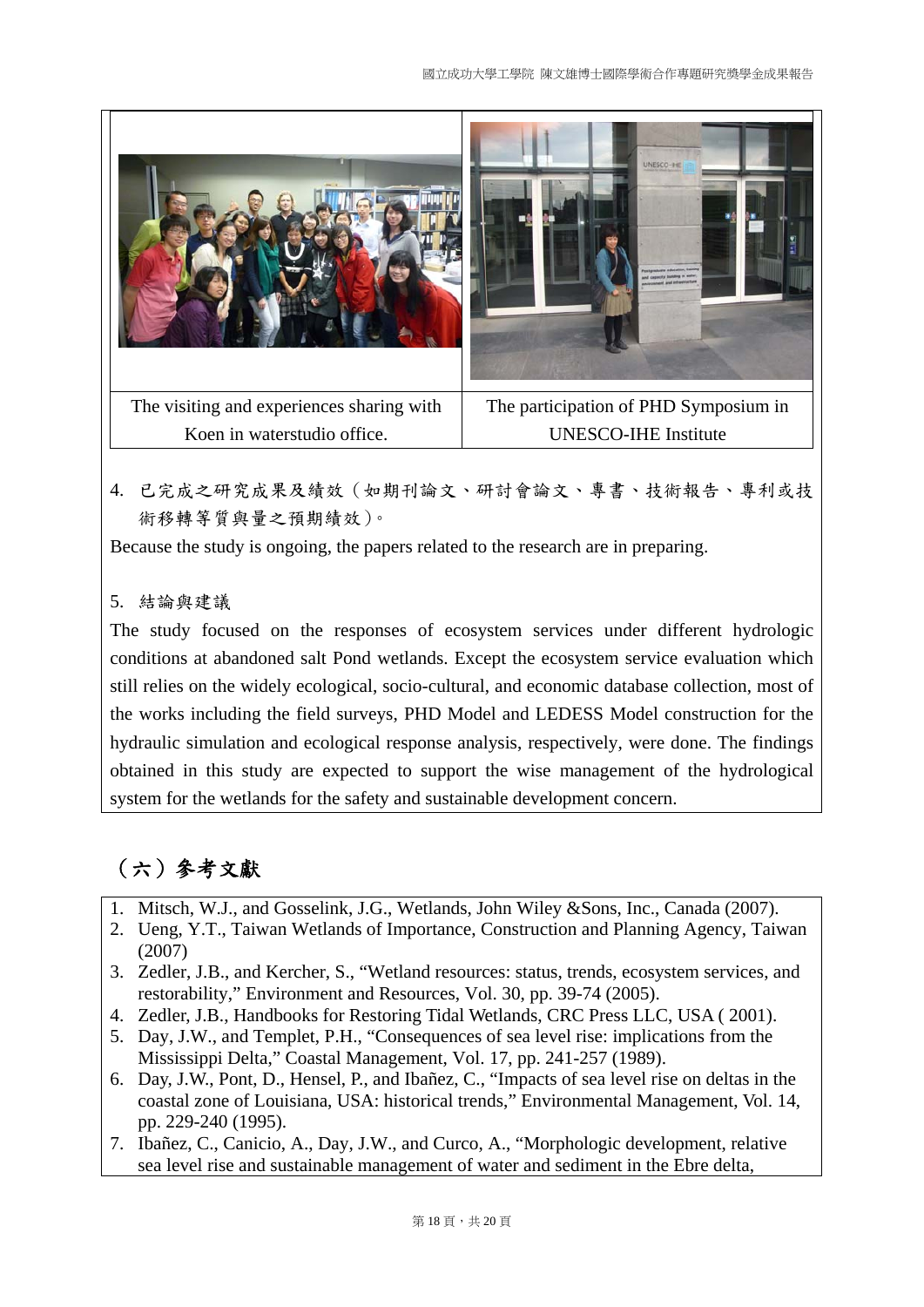

4. 已完成之研究成果及績效(如期刊論文、研討會論文、專書、技術報告、專利或技 術移轉等質與量之預期績效)。

Because the study is ongoing, the papers related to the research are in preparing.

## 5. 結論與建議

The study focused on the responses of ecosystem services under different hydrologic conditions at abandoned salt Pond wetlands. Except the ecosystem service evaluation which still relies on the widely ecological, socio-cultural, and economic database collection, most of the works including the field surveys, PHD Model and LEDESS Model construction for the hydraulic simulation and ecological response analysis, respectively, were done. The findings obtained in this study are expected to support the wise management of the hydrological system for the wetlands for the safety and sustainable development concern.

# (六)參考文獻

- 1. Mitsch, W.J., and Gosselink, J.G., Wetlands, John Wiley &Sons, Inc., Canada (2007).
- 2. Ueng, Y.T., Taiwan Wetlands of Importance, Construction and Planning Agency, Taiwan (2007)
- 3. Zedler, J.B., and Kercher, S., "Wetland resources: status, trends, ecosystem services, and restorability," Environment and Resources, Vol. 30, pp. 39-74 (2005).
- 4. Zedler, J.B., Handbooks for Restoring Tidal Wetlands, CRC Press LLC, USA ( 2001).
- 5. Day, J.W., and Templet, P.H., "Consequences of sea level rise: implications from the Mississippi Delta," Coastal Management, Vol. 17, pp. 241-257 (1989).
- 6. Day, J.W., Pont, D., Hensel, P., and Ibañez, C., "Impacts of sea level rise on deltas in the coastal zone of Louisiana, USA: historical trends," Environmental Management, Vol. 14, pp. 229-240 (1995).
- 7. Ibañez, C., Canicio, A., Day, J.W., and Curco, A., "Morphologic development, relative sea level rise and sustainable management of water and sediment in the Ebre delta,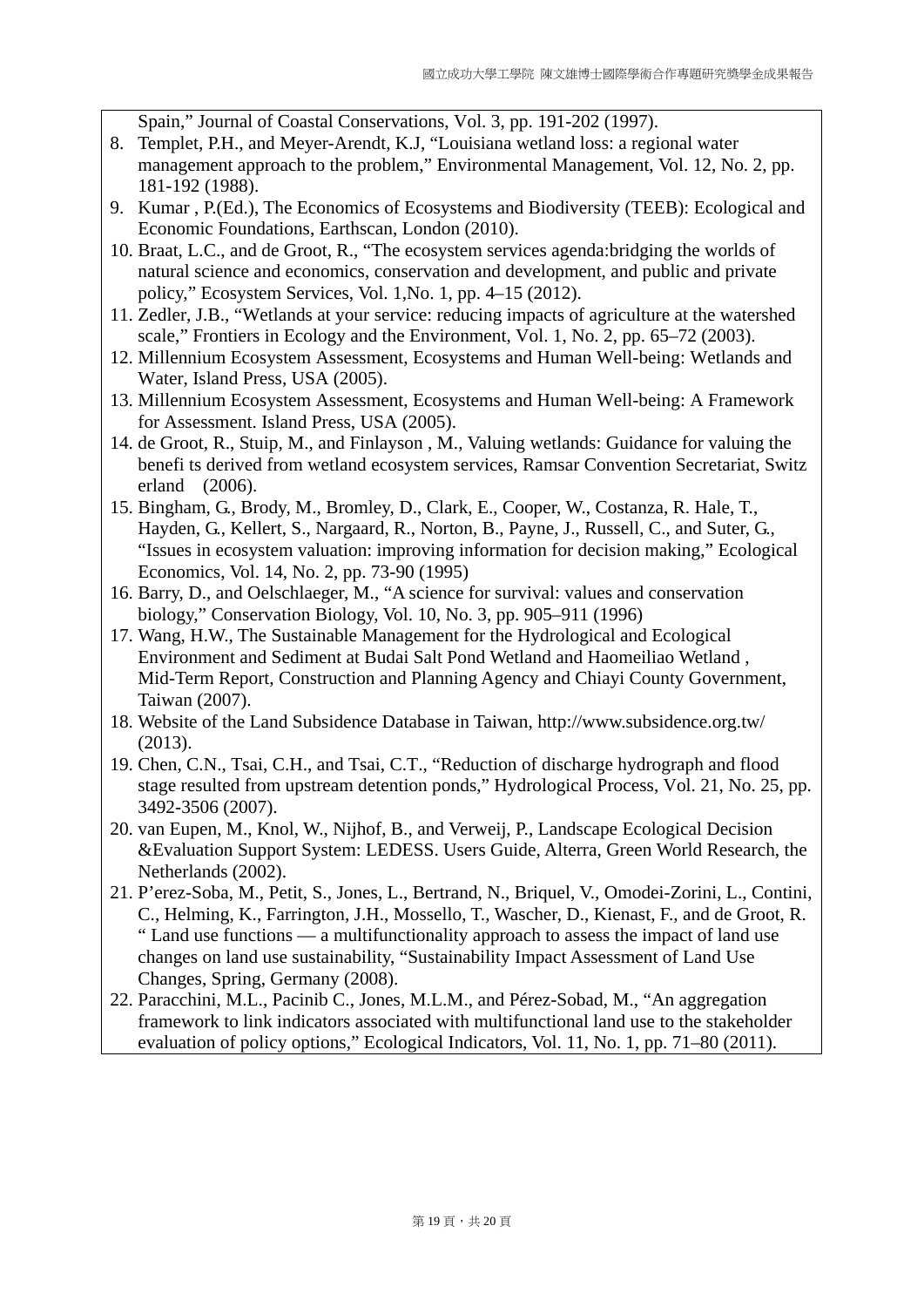Spain," Journal of Coastal Conservations, Vol. 3, pp. 191-202 (1997).

- 8. Templet, P.H., and Meyer-Arendt, K.J, "Louisiana wetland loss: a regional water management approach to the problem," Environmental Management, Vol. 12, No. 2, pp. 181-192 (1988).
- 9. Kumar , P.(Ed.), The Economics of Ecosystems and Biodiversity (TEEB): Ecological and Economic Foundations, Earthscan, London (2010).
- 10. Braat, L.C., and de Groot, R., "The ecosystem services agenda:bridging the worlds of natural science and economics, conservation and development, and public and private policy," Ecosystem Services, Vol. 1,No. 1, pp. 4–15 (2012).
- 11. Zedler, J.B., "Wetlands at your service: reducing impacts of agriculture at the watershed scale," Frontiers in Ecology and the Environment, Vol. 1, No. 2, pp. 65–72 (2003).
- 12. Millennium Ecosystem Assessment, Ecosystems and Human Well-being: Wetlands and Water, Island Press, USA (2005).
- 13. Millennium Ecosystem Assessment, Ecosystems and Human Well-being: A Framework for Assessment. Island Press, USA (2005).
- 14. de Groot, R., Stuip, M., and Finlayson , M., Valuing wetlands: Guidance for valuing the benefi ts derived from wetland ecosystem services, Ramsar Convention Secretariat, Switz erland (2006).
- 15. Bingham, G., Brody, M., Bromley, D., Clark, E., Cooper, W., Costanza, R. Hale, T., Hayden, G., Kellert, S., Nargaard, R., Norton, B., Payne, J., Russell, C., and Suter, G., "Issues in ecosystem valuation: improving information for decision making," Ecological Economics, Vol. 14, No. 2, pp. 73-90 (1995)
- 16. Barry, D., and Oelschlaeger, M., "A science for survival: values and conservation biology," Conservation Biology, Vol. 10, No. 3, pp. 905–911 (1996)
- 17. Wang, H.W., The Sustainable Management for the Hydrological and Ecological Environment and Sediment at Budai Salt Pond Wetland and Haomeiliao Wetland , Mid-Term Report, Construction and Planning Agency and Chiayi County Government, Taiwan (2007).
- 18. Website of the Land Subsidence Database in Taiwan, http://www.subsidence.org.tw/ (2013).
- 19. Chen, C.N., Tsai, C.H., and Tsai, C.T., "Reduction of discharge hydrograph and flood stage resulted from upstream detention ponds," Hydrological Process, Vol. 21, No. 25, pp. 3492-3506 (2007).
- 20. van Eupen, M., Knol, W., Nijhof, B., and Verweij, P., Landscape Ecological Decision &Evaluation Support System: LEDESS. Users Guide, Alterra, Green World Research, the Netherlands (2002).
- 21. P'erez-Soba, M., Petit, S., Jones, L., Bertrand, N., Briquel, V., Omodei-Zorini, L., Contini, C., Helming, K., Farrington, J.H., Mossello, T., Wascher, D., Kienast, F., and de Groot, R. " Land use functions — a multifunctionality approach to assess the impact of land use changes on land use sustainability, "Sustainability Impact Assessment of Land Use Changes, Spring, Germany (2008).
- 22. Paracchini, M.L., Pacinib C., Jones, M.L.M., and Pérez-Sobad, M., "An aggregation framework to link indicators associated with multifunctional land use to the stakeholder evaluation of policy options," Ecological Indicators, Vol. 11, No. 1, pp. 71–80 (2011).